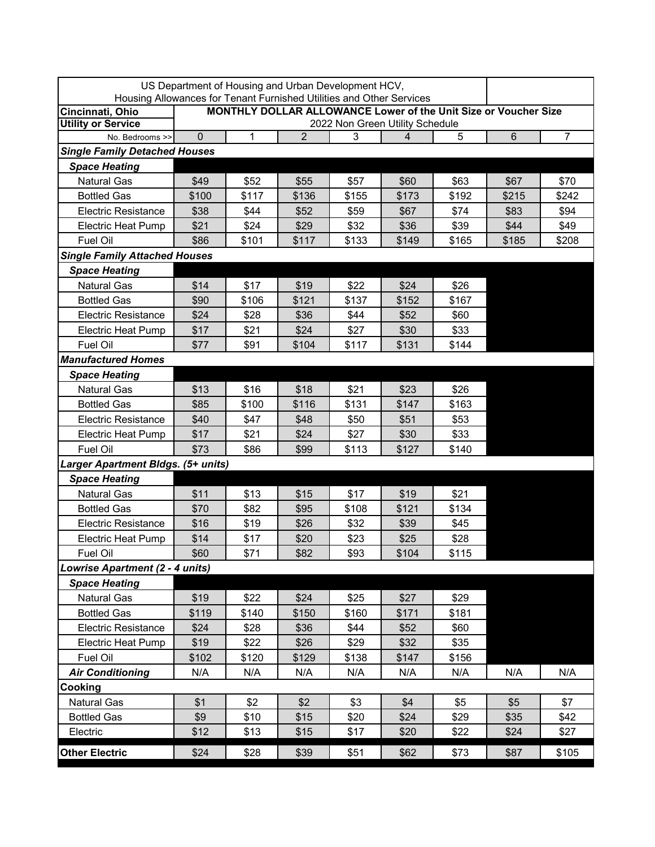| US Department of Housing and Urban Development HCV,<br>Housing Allowances for Tenant Furnished Utilities and Other Services |                                                                        |       |                |       |       |       |       |                |  |  |
|-----------------------------------------------------------------------------------------------------------------------------|------------------------------------------------------------------------|-------|----------------|-------|-------|-------|-------|----------------|--|--|
| Cincinnati, Ohio                                                                                                            | <b>MONTHLY DOLLAR ALLOWANCE Lower of the Unit Size or Voucher Size</b> |       |                |       |       |       |       |                |  |  |
| <b>Utility or Service</b>                                                                                                   | 2022 Non Green Utility Schedule                                        |       |                |       |       |       |       |                |  |  |
| No. Bedrooms >>                                                                                                             | $\Omega$                                                               | 1     | $\overline{2}$ | 3     | 4     | 5     | $\,6$ | $\overline{7}$ |  |  |
| <b>Single Family Detached Houses</b>                                                                                        |                                                                        |       |                |       |       |       |       |                |  |  |
| <b>Space Heating</b>                                                                                                        |                                                                        |       |                |       |       |       |       |                |  |  |
| <b>Natural Gas</b>                                                                                                          | \$49                                                                   | \$52  | \$55           | \$57  | \$60  | \$63  | \$67  | \$70           |  |  |
| <b>Bottled Gas</b>                                                                                                          | \$100                                                                  | \$117 | \$136          | \$155 | \$173 | \$192 | \$215 | \$242          |  |  |
| <b>Electric Resistance</b>                                                                                                  | \$38                                                                   | \$44  | \$52           | \$59  | \$67  | \$74  | \$83  | \$94           |  |  |
| <b>Electric Heat Pump</b>                                                                                                   | \$21                                                                   | \$24  | \$29           | \$32  | \$36  | \$39  | \$44  | \$49           |  |  |
| Fuel Oil                                                                                                                    | \$86                                                                   | \$101 | \$117          | \$133 | \$149 | \$165 | \$185 | \$208          |  |  |
| <b>Single Family Attached Houses</b>                                                                                        |                                                                        |       |                |       |       |       |       |                |  |  |
| <b>Space Heating</b>                                                                                                        |                                                                        |       |                |       |       |       |       |                |  |  |
| <b>Natural Gas</b>                                                                                                          | \$14                                                                   | \$17  | \$19           | \$22  | \$24  | \$26  |       |                |  |  |
| <b>Bottled Gas</b>                                                                                                          | \$90                                                                   | \$106 | \$121          | \$137 | \$152 | \$167 |       |                |  |  |
| <b>Electric Resistance</b>                                                                                                  | \$24                                                                   | \$28  | \$36           | \$44  | \$52  | \$60  |       |                |  |  |
| <b>Electric Heat Pump</b>                                                                                                   | \$17                                                                   | \$21  | \$24           | \$27  | \$30  | \$33  |       |                |  |  |
| Fuel Oil                                                                                                                    | \$77                                                                   | \$91  | \$104          | \$117 | \$131 | \$144 |       |                |  |  |
| <b>Manufactured Homes</b>                                                                                                   |                                                                        |       |                |       |       |       |       |                |  |  |
| <b>Space Heating</b>                                                                                                        |                                                                        |       |                |       |       |       |       |                |  |  |
| <b>Natural Gas</b>                                                                                                          | \$13                                                                   | \$16  | \$18           | \$21  | \$23  | \$26  |       |                |  |  |
| <b>Bottled Gas</b>                                                                                                          | \$85                                                                   | \$100 | \$116          | \$131 | \$147 | \$163 |       |                |  |  |
| <b>Electric Resistance</b>                                                                                                  | \$40                                                                   | \$47  | \$48           | \$50  | \$51  | \$53  |       |                |  |  |
| <b>Electric Heat Pump</b>                                                                                                   | \$17                                                                   | \$21  | \$24           | \$27  | \$30  | \$33  |       |                |  |  |
| Fuel Oil                                                                                                                    | \$73                                                                   | \$86  | \$99           | \$113 | \$127 | \$140 |       |                |  |  |
| Larger Apartment Bldgs. (5+ units)                                                                                          |                                                                        |       |                |       |       |       |       |                |  |  |
| <b>Space Heating</b>                                                                                                        |                                                                        |       |                |       |       |       |       |                |  |  |
| <b>Natural Gas</b>                                                                                                          | \$11                                                                   | \$13  | \$15           | \$17  | \$19  | \$21  |       |                |  |  |
| <b>Bottled Gas</b>                                                                                                          | \$70                                                                   | \$82  | \$95           | \$108 | \$121 | \$134 |       |                |  |  |
| <b>Electric Resistance</b>                                                                                                  | \$16                                                                   | \$19  | \$26           | \$32  | \$39  | \$45  |       |                |  |  |
| <b>Electric Heat Pump</b>                                                                                                   | \$14                                                                   | \$17  | \$20           | \$23  | \$25  | \$28  |       |                |  |  |
| Fuel Oil                                                                                                                    | \$60                                                                   | \$71  | \$82           | \$93  | \$104 | \$115 |       |                |  |  |
| Lowrise Apartment (2 - 4 units)                                                                                             |                                                                        |       |                |       |       |       |       |                |  |  |
| <b>Space Heating</b>                                                                                                        |                                                                        |       |                |       |       |       |       |                |  |  |
| Natural Gas                                                                                                                 | \$19                                                                   | \$22  | \$24           | \$25  | \$27  | \$29  |       |                |  |  |
| <b>Bottled Gas</b>                                                                                                          | \$119                                                                  | \$140 | \$150          | \$160 | \$171 | \$181 |       |                |  |  |
| <b>Electric Resistance</b>                                                                                                  | \$24                                                                   | \$28  | \$36           | \$44  | \$52  | \$60  |       |                |  |  |
| <b>Electric Heat Pump</b>                                                                                                   | \$19                                                                   | \$22  | \$26           | \$29  | \$32  | \$35  |       |                |  |  |
| Fuel Oil                                                                                                                    | \$102                                                                  | \$120 | \$129          | \$138 | \$147 | \$156 |       |                |  |  |
| <b>Air Conditioning</b>                                                                                                     | N/A                                                                    | N/A   | N/A            | N/A   | N/A   | N/A   | N/A   | N/A            |  |  |
| Cooking                                                                                                                     |                                                                        |       |                |       |       |       |       |                |  |  |
| Natural Gas                                                                                                                 | \$1                                                                    | \$2   | \$2            | \$3   | \$4   | \$5   | \$5   | \$7            |  |  |
| <b>Bottled Gas</b>                                                                                                          | \$9                                                                    | \$10  | \$15           | \$20  | \$24  | \$29  | \$35  | \$42           |  |  |
| Electric                                                                                                                    | \$12                                                                   | \$13  | \$15           | \$17  | \$20  | \$22  | \$24  | \$27           |  |  |
| <b>Other Electric</b>                                                                                                       | \$24                                                                   | \$28  | \$39           | \$51  | \$62  | \$73  | \$87  | \$105          |  |  |